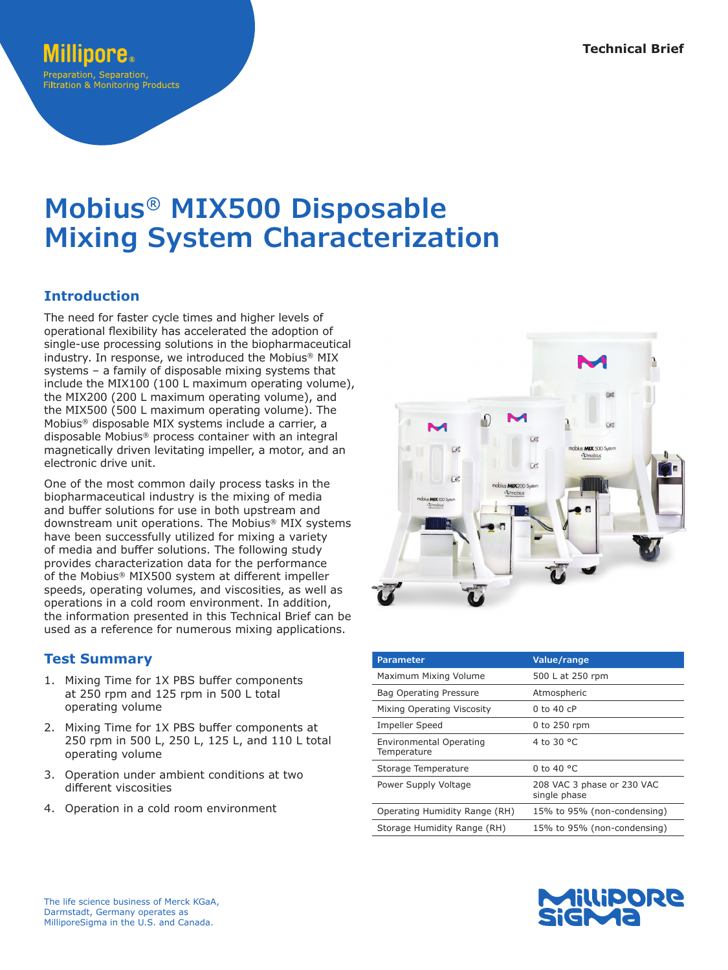# **Mobius® MIX500 Disposable Mixing System Characterization**

# **Introduction**

The need for faster cycle times and higher levels of operational flexibility has accelerated the adoption of single-use processing solutions in the biopharmaceutical industry. In response, we introduced the Mobius® MIX systems – a family of disposable mixing systems that include the MIX100 (100 L maximum operating volume), the MIX200 (200 L maximum operating volume), and the MIX500 (500 L maximum operating volume). The Mobius® disposable MIX systems include a carrier, a disposable Mobius® process container with an integral magnetically driven levitating impeller, a motor, and an electronic drive unit.

One of the most common daily process tasks in the biopharmaceutical industry is the mixing of media and buffer solutions for use in both upstream and downstream unit operations. The Mobius® MIX systems have been successfully utilized for mixing a variety of media and buffer solutions. The following study provides characterization data for the performance of the Mobius® MIX500 system at different impeller speeds, operating volumes, and viscosities, as well as operations in a cold room environment. In addition, the information presented in this Technical Brief can be used as a reference for numerous mixing applications.

## **Test Summary**

- 1. Mixing Time for 1X PBS buffer components at 250 rpm and 125 rpm in 500 L total operating volume
- 2. Mixing Time for 1X PBS buffer components at 250 rpm in 500 L, 250 L, 125 L, and 110 L total operating volume
- 3. Operation under ambient conditions at two different viscosities
- 4. Operation in a cold room environment



| <b>Parameter</b>                       | Value/range                                |
|----------------------------------------|--------------------------------------------|
| Maximum Mixing Volume                  | 500 L at 250 rpm                           |
| Bag Operating Pressure                 | Atmospheric                                |
| Mixing Operating Viscosity             | $0$ to $40$ cP                             |
| <b>Impeller Speed</b>                  | 0 to 250 rpm                               |
| Environmental Operating<br>Temperature | 4 to 30 °C                                 |
| Storage Temperature                    | 0 to 40 $^{\circ}$ C                       |
| Power Supply Voltage                   | 208 VAC 3 phase or 230 VAC<br>single phase |
| Operating Humidity Range (RH)          | 15% to 95% (non-condensing)                |
| Storage Humidity Range (RH)            | 15% to 95% (non-condensing)                |

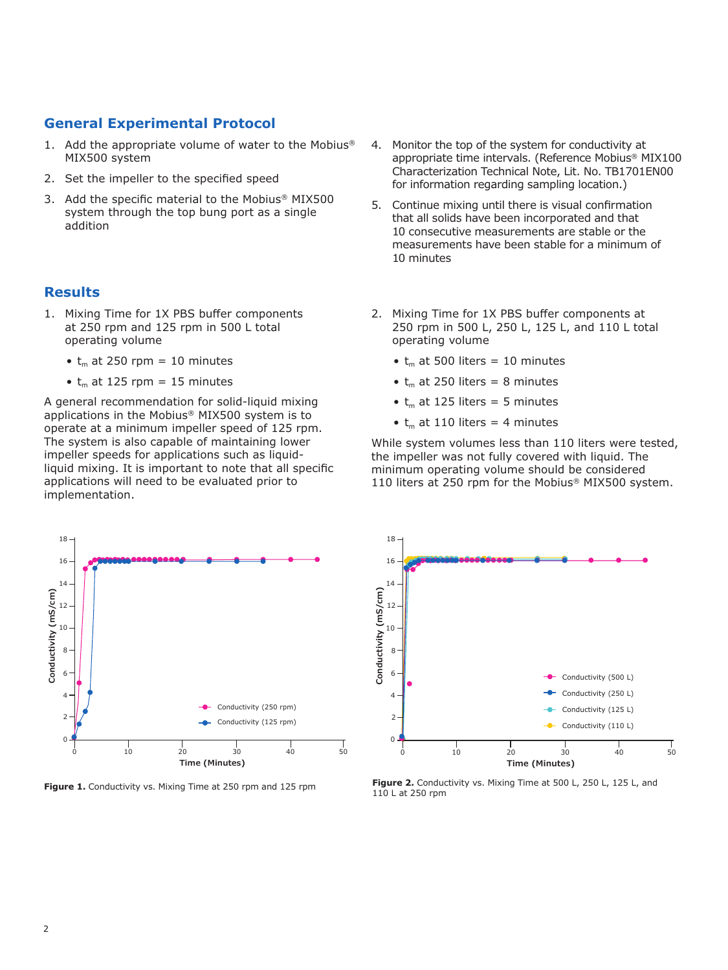## **General Experimental Protocol**

- 1. Add the appropriate volume of water to the Mobius® MIX500 system
- 2. Set the impeller to the specified speed
- 3. Add the specific material to the Mobius® MIX500 system through the top bung port as a single addition

## **Results**

- 1. Mixing Time for 1X PBS buffer components at 250 rpm and 125 rpm in 500 L total operating volume
	- $t_m$  at 250 rpm = 10 minutes
	- $t_m$  at 125 rpm = 15 minutes

A general recommendation for solid-liquid mixing applications in the Mobius® MIX500 system is to operate at a minimum impeller speed of 125 rpm. The system is also capable of maintaining lower impeller speeds for applications such as liquidliquid mixing. It is important to note that all specific applications will need to be evaluated prior to implementation.



- 4. Monitor the top of the system for conductivity at appropriate time intervals. (Reference Mobius® MIX100 Characterization Technical Note, Lit. No. TB1701EN00 for information regarding sampling location.)
- 5. Continue mixing until there is visual confirmation that all solids have been incorporated and that 10 consecutive measurements are stable or the measurements have been stable for a minimum of 10 minutes
- 2. Mixing Time for 1X PBS buffer components at 250 rpm in 500 L, 250 L, 125 L, and 110 L total operating volume
	- $t_m$  at 500 liters = 10 minutes
	- $t_m$  at 250 liters = 8 minutes
	- $t_m$  at 125 liters = 5 minutes
	- $t_m$  at 110 liters = 4 minutes

While system volumes less than 110 liters were tested, the impeller was not fully covered with liquid. The minimum operating volume should be considered 110 liters at 250 rpm for the Mobius® MIX500 system.



**Figure 1.** Conductivity vs. Mixing Time at 250 rpm and 125 rpm **Figure 2.** Conductivity vs. Mixing Time at 500 L, 250 L, 125 L, and 110 L at 250 rpm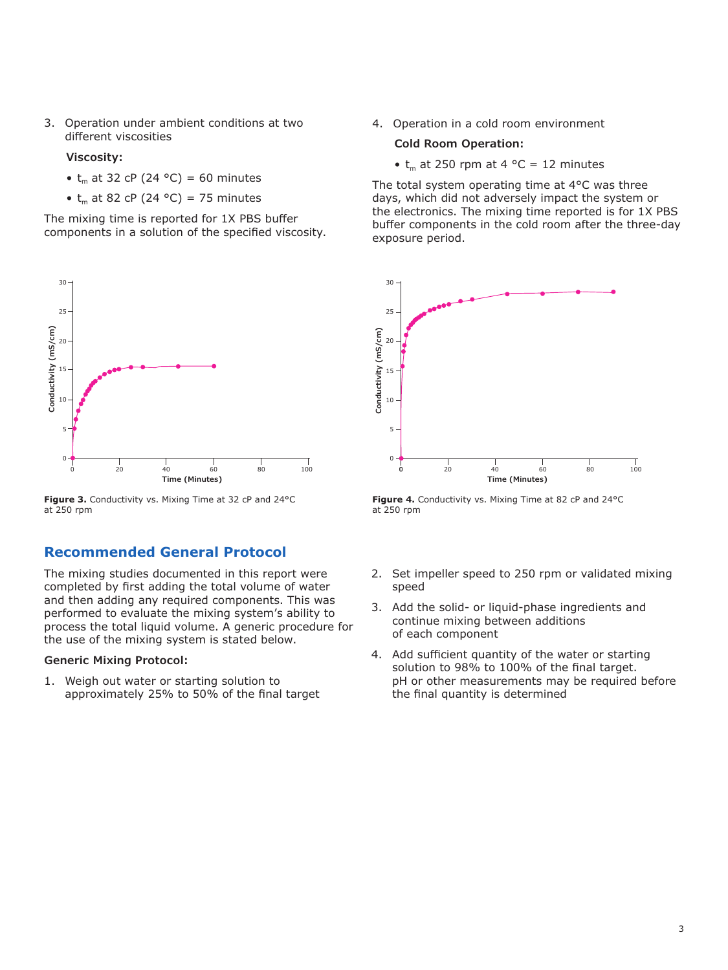3. Operation under ambient conditions at two different viscosities

#### **Viscosity:**

- $t_m$  at 32 cP (24 °C) = 60 minutes
- $t_m$  at 82 cP (24 °C) = 75 minutes

The mixing time is reported for 1X PBS buffer components in a solution of the specified viscosity.



**Figure 3.** Conductivity vs. Mixing Time at 32 cP and 24°C at 250 rpm

## **Recommended General Protocol**

The mixing studies documented in this report were completed by first adding the total volume of water and then adding any required components. This was performed to evaluate the mixing system's ability to process the total liquid volume. A generic procedure for the use of the mixing system is stated below.

#### **Generic Mixing Protocol:**

1. Weigh out water or starting solution to approximately 25% to 50% of the final target 4. Operation in a cold room environment

#### **Cold Room Operation:**

•  $t_m$  at 250 rpm at 4 °C = 12 minutes

The total system operating time at 4°C was three days, which did not adversely impact the system or the electronics. The mixing time reported is for 1X PBS buffer components in the cold room after the three-day exposure period.



Figure 4. Conductivity vs. Mixing Time at 82 cP and 24°C at 250 rpm

- 2. Set impeller speed to 250 rpm or validated mixing speed
- 3. Add the solid- or liquid-phase ingredients and continue mixing between additions of each component
- 4. Add sufficient quantity of the water or starting solution to 98% to 100% of the final target. pH or other measurements may be required before the final quantity is determined